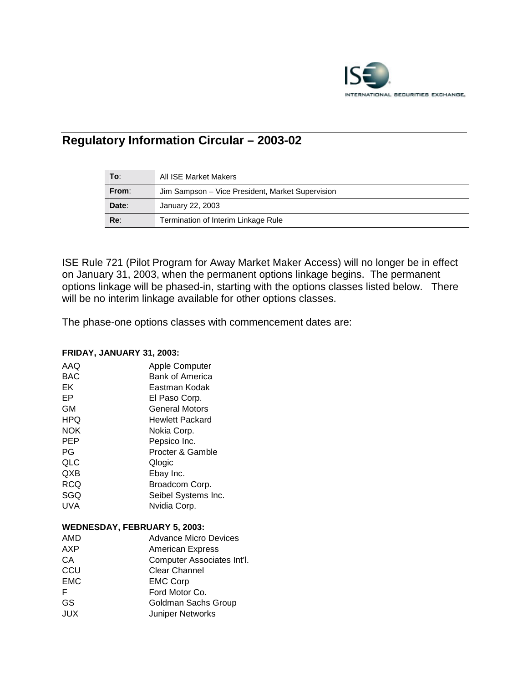

# **Regulatory Information Circular – 2003-02**

| To:   | All ISE Market Makers                            |
|-------|--------------------------------------------------|
| From: | Jim Sampson – Vice President, Market Supervision |
| Date: | January 22, 2003                                 |
| Re:   | Termination of Interim Linkage Rule              |

ISE Rule 721 (Pilot Program for Away Market Maker Access) will no longer be in effect on January 31, 2003, when the permanent options linkage begins. The permanent options linkage will be phased-in, starting with the options classes listed below. There will be no interim linkage available for other options classes.

The phase-one options classes with commencement dates are:

#### **FRIDAY, JANUARY 31, 2003:**

| AAQ        | <b>Apple Computer</b>               |
|------------|-------------------------------------|
| <b>BAC</b> | <b>Bank of America</b>              |
| EK         | Eastman Kodak                       |
| EP         | El Paso Corp.                       |
| <b>GM</b>  | General Motors                      |
| HPQ        | <b>Hewlett Packard</b>              |
| <b>NOK</b> | Nokia Corp.                         |
| <b>PEP</b> | Pepsico Inc.                        |
| PG         | Procter & Gamble                    |
| QLC        | Qlogic                              |
| QXB        | Ebay Inc.                           |
| <b>RCQ</b> | Broadcom Corp.                      |
| SGQ        | Seibel Systems Inc.                 |
| UVA        | Nvidia Corp.                        |
|            | <b>WEDNESDAY, FEBRUARY 5, 2003:</b> |
| AMD        | <b>Advance Micro Devices</b>        |
| AXP        | <b>American Express</b>             |
| СA         | Computer Associates Int'l.          |
| CCU        | <b>Clear Channel</b>                |
| <b>EMC</b> | <b>EMC Corp</b>                     |
| F          | Ford Motor Co.                      |

GS Goldman Sachs Group JUX Juniper Networks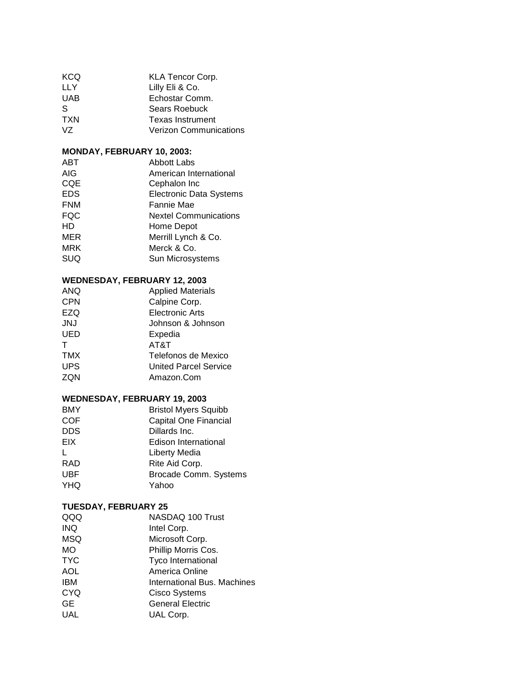| <b>KCQ</b> | <b>KLA Tencor Corp.</b>       |
|------------|-------------------------------|
| LLY        | Lilly Eli & Co.               |
| <b>UAB</b> | Echostar Comm.                |
| S          | <b>Sears Roebuck</b>          |
| <b>TXN</b> | <b>Texas Instrument</b>       |
| VZ.        | <b>Verizon Communications</b> |

## **MONDAY, FEBRUARY 10, 2003:**

| ABT        | Abbott Labs                    |
|------------|--------------------------------|
| AIG        | American International         |
| <b>CQE</b> | Cephalon Inc                   |
| <b>EDS</b> | <b>Electronic Data Systems</b> |
| <b>FNM</b> | Fannie Mae                     |
| <b>FQC</b> | <b>Nextel Communications</b>   |
| HD.        | Home Depot                     |
| MER        | Merrill Lynch & Co.            |
| <b>MRK</b> | Merck & Co.                    |
| <b>SUQ</b> | Sun Microsystems               |
|            |                                |

# **WEDNESDAY, FEBRUARY 12, 2003**

| <b>ANQ</b> | <b>Applied Materials</b>     |
|------------|------------------------------|
| <b>CPN</b> | Calpine Corp.                |
| EZQ        | Electronic Arts              |
| <b>JNJ</b> | Johnson & Johnson            |
| <b>UED</b> | Expedia                      |
|            | AT&T                         |
| <b>TMX</b> | Telefonos de Mexico          |
| <b>UPS</b> | <b>United Parcel Service</b> |
| ZON        | Amazon.Com                   |

# **WEDNESDAY, FEBRUARY 19, 2003**

| <b>BMY</b>   | <b>Bristol Myers Squibb</b> |
|--------------|-----------------------------|
| <b>COF</b>   | Capital One Financial       |
| <b>DDS</b>   | Dillards Inc.               |
| EIX          | Edison International        |
| $\mathbf{L}$ | Liberty Media               |
| <b>RAD</b>   | Rite Aid Corp.              |
| <b>UBF</b>   | Brocade Comm. Systems       |
| <b>YHQ</b>   | Yahoo                       |

#### **TUESDAY, FEBRUARY 25**

| QQQ        | NASDAQ 100 Trust            |
|------------|-----------------------------|
| <b>INQ</b> | Intel Corp.                 |
| <b>MSQ</b> | Microsoft Corp.             |
| <b>MO</b>  | Phillip Morris Cos.         |
| <b>TYC</b> | Tyco International          |
| <b>AOL</b> | America Online              |
| <b>IBM</b> | International Bus. Machines |
| <b>CYQ</b> | <b>Cisco Systems</b>        |
| <b>GE</b>  | <b>General Electric</b>     |
| UAL        | UAL Corp.                   |